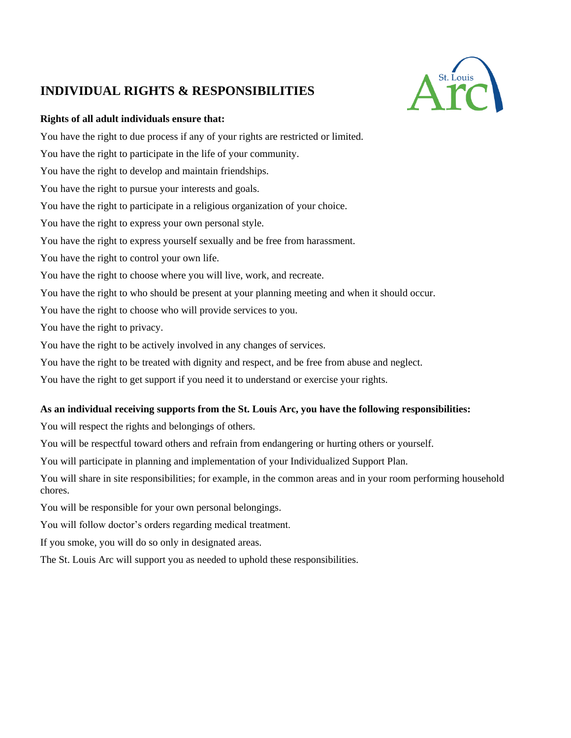# **INDIVIDUAL RIGHTS & RESPONSIBILITIES**



## **Rights of all adult individuals ensure that:**

You have the right to due process if any of your rights are restricted or limited. You have the right to participate in the life of your community. You have the right to develop and maintain friendships. You have the right to pursue your interests and goals. You have the right to participate in a religious organization of your choice. You have the right to express your own personal style. You have the right to express yourself sexually and be free from harassment. You have the right to control your own life. You have the right to choose where you will live, work, and recreate. You have the right to who should be present at your planning meeting and when it should occur. You have the right to choose who will provide services to you. You have the right to privacy. You have the right to be actively involved in any changes of services.

You have the right to be treated with dignity and respect, and be free from abuse and neglect.

You have the right to get support if you need it to understand or exercise your rights.

## **As an individual receiving supports from the St. Louis Arc, you have the following responsibilities:**

You will respect the rights and belongings of others.

You will be respectful toward others and refrain from endangering or hurting others or yourself.

You will participate in planning and implementation of your Individualized Support Plan.

You will share in site responsibilities; for example, in the common areas and in your room performing household chores.

You will be responsible for your own personal belongings.

You will follow doctor's orders regarding medical treatment.

If you smoke, you will do so only in designated areas.

The St. Louis Arc will support you as needed to uphold these responsibilities.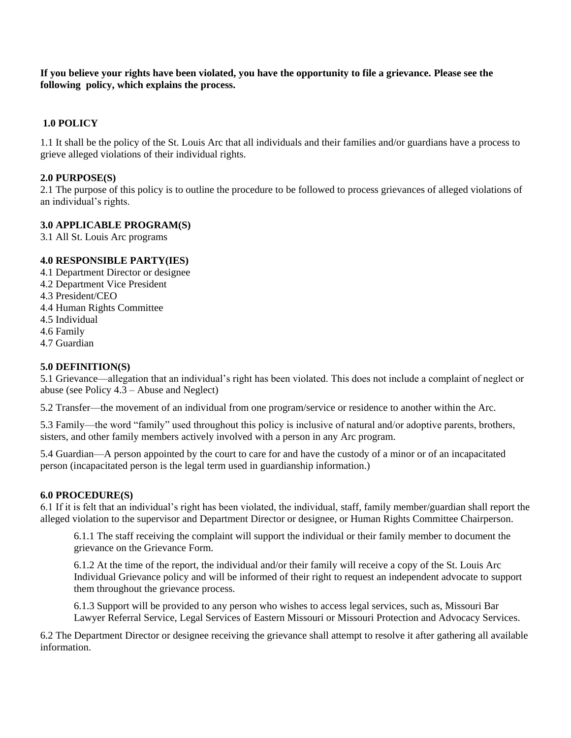**If you believe your rights have been violated, you have the opportunity to file a grievance. Please see the following policy, which explains the process.**

## **1.0 POLICY**

1.1 It shall be the policy of the St. Louis Arc that all individuals and their families and/or guardians have a process to grieve alleged violations of their individual rights.

### **2.0 PURPOSE(S)**

2.1 The purpose of this policy is to outline the procedure to be followed to process grievances of alleged violations of an individual's rights.

#### **3.0 APPLICABLE PROGRAM(S)**

3.1 All St. Louis Arc programs

### **4.0 RESPONSIBLE PARTY(IES)**

- 4.1 Department Director or designee
- 4.2 Department Vice President
- 4.3 President/CEO
- 4.4 Human Rights Committee
- 4.5 Individual
- 4.6 Family
- 4.7 Guardian

### **5.0 DEFINITION(S)**

5.1 Grievance—allegation that an individual's right has been violated. This does not include a complaint of neglect or abuse (see Policy  $4.\overline{3}$  – Abuse and Neglect)

5.2 Transfer—the movement of an individual from one program/service or residence to another within the Arc.

5.3 Family—the word "family" used throughout this policy is inclusive of natural and/or adoptive parents, brothers, sisters, and other family members actively involved with a person in any Arc program.

5.4 Guardian—A person appointed by the court to care for and have the custody of a minor or of an incapacitated person (incapacitated person is the legal term used in guardianship information.)

#### **6.0 PROCEDURE(S)**

6.1 If it is felt that an individual's right has been violated, the individual, staff, family member/guardian shall report the alleged violation to the supervisor and Department Director or designee, or Human Rights Committee Chairperson.

6.1.1 The staff receiving the complaint will support the individual or their family member to document the grievance on the Grievance Form.

6.1.2 At the time of the report, the individual and/or their family will receive a copy of the St. Louis Arc Individual Grievance policy and will be informed of their right to request an independent advocate to support them throughout the grievance process.

6.1.3 Support will be provided to any person who wishes to access legal services, such as, Missouri Bar Lawyer Referral Service, Legal Services of Eastern Missouri or Missouri Protection and Advocacy Services.

6.2 The Department Director or designee receiving the grievance shall attempt to resolve it after gathering all available information.